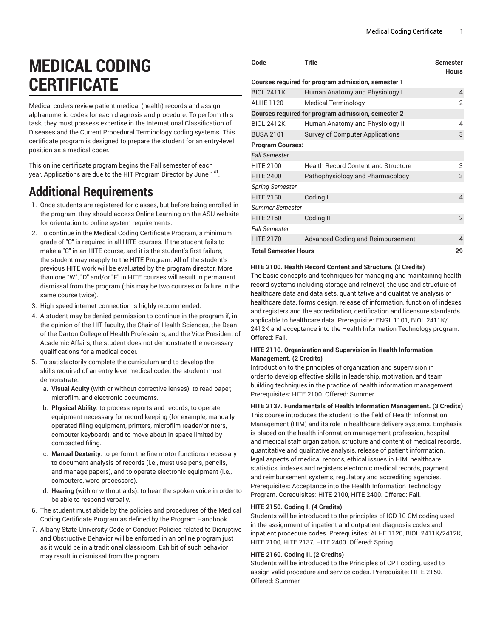# **MEDICAL CODING CERTIFICATE**

Medical coders review patient medical (health) records and assign alphanumeric codes for each diagnosis and procedure. To perform this task, they must possess expertise in the International Classification of Diseases and the Current Procedural Terminology coding systems. This certificate program is designed to prepare the student for an entry-level position as a medical coder.

This online certificate program begins the Fall semester of each year. Applications are due to the HIT Program Director by June 1<sup>st</sup>.

# **Additional Requirements**

- 1. Once students are registered for classes, but before being enrolled in the program, they should access Online Learning on the ASU website for orientation to online system requirements.
- 2. To continue in the Medical Coding Certificate Program, a minimum grade of "C" is required in all HITE courses. If the student fails to make a "C" in an HITE course, and it is the student's first failure, the student may reapply to the HITE Program. All of the student's previous HITE work will be evaluated by the program director. More than one "W", "D" and/or "F" in HITE courses will result in permanent dismissal from the program (this may be two courses or failure in the same course twice).
- 3. High speed internet connection is highly recommended.
- 4. A student may be denied permission to continue in the program if, in the opinion of the HIT faculty, the Chair of Health Sciences, the Dean of the Darton College of Health Professions, and the Vice President of Academic Affairs, the student does not demonstrate the necessary qualifications for a medical coder.
- 5. To satisfactorily complete the curriculum and to develop the skills required of an entry level medical coder, the student must demonstrate:
	- a. **Visual Acuity** (with or without corrective lenses): to read paper, microfilm, and electronic documents.
	- b. **Physical Ability**: to process reports and records, to operate equipment necessary for record keeping (for example, manually operated filing equipment, printers, microfilm reader/printers, computer keyboard), and to move about in space limited by compacted filing.
	- c. **Manual Dexterity**: to perform the fine motor functions necessary to document analysis of records (i.e., must use pens, pencils, and manage papers), and to operate electronic equipment (i.e., computers, word processors).
	- d. **Hearing** (with or without aids): to hear the spoken voice in order to be able to respond verbally.
- 6. The student must abide by the policies and procedures of the Medical Coding Certificate Program as defined by the Program Handbook.
- 7. Albany State University Code of Conduct Policies related to Disruptive and Obstructive Behavior will be enforced in an online program just as it would be in a traditional classroom. Exhibit of such behavior may result in dismissal from the program.

| Code                                               | <b>Title</b>                               | <b>Semester</b><br><b>Hours</b> |
|----------------------------------------------------|--------------------------------------------|---------------------------------|
| Courses required for program admission, semester 1 |                                            |                                 |
| <b>BIOL 2411K</b>                                  | Human Anatomy and Physiology I             | 4                               |
| AI HF 1120                                         | <b>Medical Terminology</b>                 | $\mathfrak{p}$                  |
| Courses required for program admission, semester 2 |                                            |                                 |
| <b>BIOL 2412K</b>                                  | Human Anatomy and Physiology II            | $\overline{4}$                  |
| <b>BUSA 2101</b>                                   | Survey of Computer Applications            | 3                               |
| <b>Program Courses:</b>                            |                                            |                                 |
| <b>Fall Semester</b>                               |                                            |                                 |
| HITF 2100                                          | <b>Health Record Content and Structure</b> | 3                               |
| <b>HITE 2400</b>                                   | Pathophysiology and Pharmacology           | 3                               |
| <b>Spring Semester</b>                             |                                            |                                 |
| <b>HITE 2150</b>                                   | Coding I                                   | $\overline{4}$                  |
| <b>Summer Semester</b>                             |                                            |                                 |
| <b>HITE 2160</b>                                   | Coding II                                  | $\overline{2}$                  |
| <b>Fall Semester</b>                               |                                            |                                 |
| <b>HITE 2170</b>                                   | <b>Advanced Coding and Reimbursement</b>   | $\overline{4}$                  |
| <b>Total Semester Hours</b>                        |                                            | 29                              |

# **HITE 2100. Health Record Content and Structure. (3 Credits)**

The basic concepts and techniques for managing and maintaining health record systems including storage and retrieval, the use and structure of healthcare data and data sets, quantitative and qualitative analysis of healthcare data, forms design, release of information, function of indexes and registers and the accreditation, certification and licensure standards applicable to healthcare data. Prerequisite: ENGL 1101, BIOL 2411K/ 2412K and acceptance into the Health Information Technology program. Offered: Fall.

#### **HITE 2110. Organization and Supervision in Health Information Management. (2 Credits)**

Introduction to the principles of organization and supervision in order to develop effective skills in leadership, motivation, and team building techniques in the practice of health information management. Prerequisites: HITE 2100. Offered: Summer.

#### **HITE 2137. Fundamentals of Health Information Management. (3 Credits)**

This course introduces the student to the field of Health Information Management (HIM) and its role in healthcare delivery systems. Emphasis is placed on the health information management profession, hospital and medical staff organization, structure and content of medical records, quantitative and qualitative analysis, release of patient information, legal aspects of medical records, ethical issues in HIM, healthcare statistics, indexes and registers electronic medical records, payment and reimbursement systems, regulatory and accrediting agencies. Prerequisites: Acceptance into the Health Information Technology Program. Corequisites: HITE 2100, HITE 2400. Offered: Fall.

#### **HITE 2150. Coding I. (4 Credits)**

Students will be introduced to the principles of ICD-10-CM coding used in the assignment of inpatient and outpatient diagnosis codes and inpatient procedure codes. Prerequisites: ALHE 1120, BIOL 2411K/2412K, HITE 2100, HITE 2137, HITE 2400. Offered: Spring.

#### **HITE 2160. Coding II. (2 Credits)**

Students will be introduced to the Principles of CPT coding, used to assign valid procedure and service codes. Prerequisite: HITE 2150. Offered: Summer.